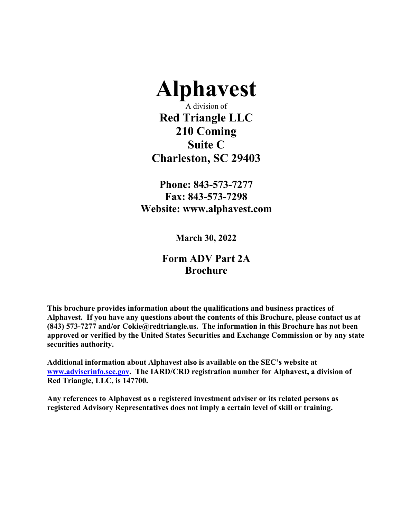

A division of **Red Triangle LLC 210 Coming Suite C Charleston, SC 29403** 

**Phone: 843-573-7277 Fax: 843-573-7298 Website: www.alphavest.com** 

**March 30, 2022** 

# **Form ADV Part 2A Brochure**

**This brochure provides information about the qualifications and business practices of Alphavest. If you have any questions about the contents of this Brochure, please contact us at (843) 573-7277 and/or Cokie@redtriangle.us. The information in this Brochure has not been approved or verified by the United States Securities and Exchange Commission or by any state securities authority.** 

**Additional information about Alphavest also is available on the SEC's website at www.adviserinfo.sec.gov. The IARD/CRD registration number for Alphavest, a division of Red Triangle, LLC, is 147700.** 

**Any references to Alphavest as a registered investment adviser or its related persons as registered Advisory Representatives does not imply a certain level of skill or training.**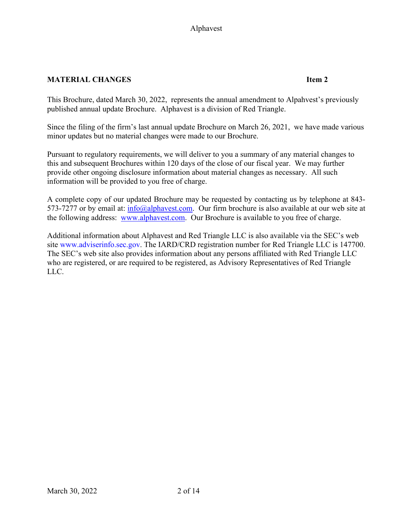# **MATERIAL CHANGES Item 2**

This Brochure, dated March 30, 2022, represents the annual amendment to Alpahvest's previously published annual update Brochure. Alphavest is a division of Red Triangle.

Since the filing of the firm's last annual update Brochure on March 26, 2021, we have made various minor updates but no material changes were made to our Brochure.

Pursuant to regulatory requirements, we will deliver to you a summary of any material changes to this and subsequent Brochures within 120 days of the close of our fiscal year. We may further provide other ongoing disclosure information about material changes as necessary. All such information will be provided to you free of charge.

A complete copy of our updated Brochure may be requested by contacting us by telephone at 843- 573-7277 or by email at: info@alphavest.com. Our firm brochure is also available at our web site at the following address: www.alphavest.com. Our Brochure is available to you free of charge.

Additional information about Alphavest and Red Triangle LLC is also available via the SEC's web site www.adviserinfo.sec.gov. The IARD/CRD registration number for Red Triangle LLC is 147700. The SEC's web site also provides information about any persons affiliated with Red Triangle LLC who are registered, or are required to be registered, as Advisory Representatives of Red Triangle LLC.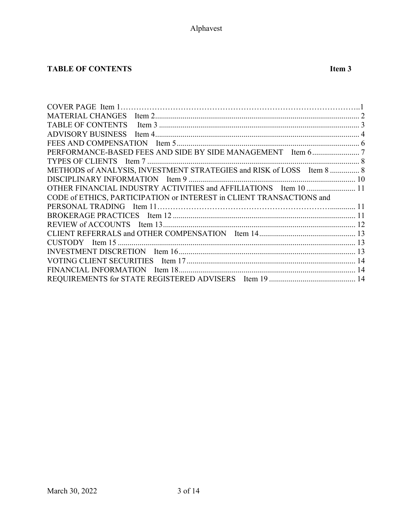# **TABLE OF CONTENTS Item 3**

| METHODS of ANALYSIS, INVESTMENT STRATEGIES and RISK of LOSS Item 8  8 |  |
|-----------------------------------------------------------------------|--|
|                                                                       |  |
| OTHER FINANCIAL INDUSTRY ACTIVITIES and AFFILIATIONS Item 10  11      |  |
| CODE of ETHICS, PARTICIPATION or INTEREST in CLIENT TRANSACTIONS and  |  |
|                                                                       |  |
|                                                                       |  |
|                                                                       |  |
|                                                                       |  |
|                                                                       |  |
|                                                                       |  |
|                                                                       |  |
|                                                                       |  |
|                                                                       |  |
|                                                                       |  |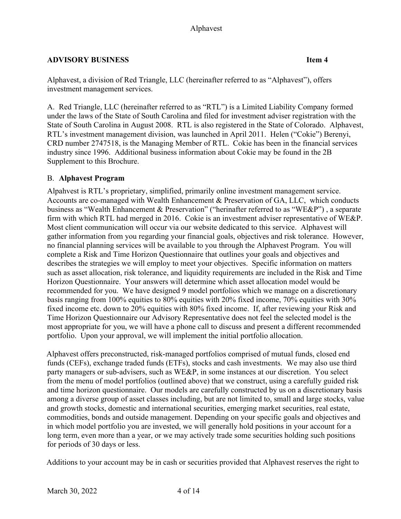# **ADVISORY BUSINESS Item 4**

Alphavest, a division of Red Triangle, LLC (hereinafter referred to as "Alphavest"), offers investment management services.

A. Red Triangle, LLC (hereinafter referred to as "RTL") is a Limited Liability Company formed under the laws of the State of South Carolina and filed for investment adviser registration with the State of South Carolina in August 2008. RTL is also registered in the State of Colorado. Alphavest, RTL's investment management division, was launched in April 2011. Helen ("Cokie") Berenyi, CRD number 2747518, is the Managing Member of RTL. Cokie has been in the financial services industry since 1996. Additional business information about Cokie may be found in the 2B Supplement to this Brochure.

# B. **Alphavest Program**

Alpahvest is RTL's proprietary, simplified, primarily online investment management service. Accounts are co-managed with Wealth Enhancement & Preservation of GA, LLC, which conducts business as "Wealth Enhancement & Preservation" ("herinafter referred to as "WE&P") , a separate firm with which RTL had merged in 2016. Cokie is an investment adviser representative of WE&P. Most client communication will occur via our website dedicated to this service. Alphavest will gather information from you regarding your financial goals, objectives and risk tolerance. However, no financial planning services will be available to you through the Alphavest Program. You will complete a Risk and Time Horizon Questionnaire that outlines your goals and objectives and describes the strategies we will employ to meet your objectives. Specific information on matters such as asset allocation, risk tolerance, and liquidity requirements are included in the Risk and Time Horizon Questionnaire. Your answers will determine which asset allocation model would be recommended for you. We have designed 9 model portfolios which we manage on a discretionary basis ranging from 100% equities to 80% equities with 20% fixed income, 70% equities with 30% fixed income etc. down to 20% equities with 80% fixed income. If, after reviewing your Risk and Time Horizon Questionnaire our Advisory Representative does not feel the selected model is the most appropriate for you, we will have a phone call to discuss and present a different recommended portfolio. Upon your approval, we will implement the initial portfolio allocation.

Alphavest offers preconstructed, risk-managed portfolios comprised of mutual funds, closed end funds (CEFs), exchange traded funds (ETFs), stocks and cash investments. We may also use third party managers or sub-advisers, such as WE&P, in some instances at our discretion. You select from the menu of model portfolios (outlined above) that we construct, using a carefully guided risk and time horizon questionnaire. Our models are carefully constructed by us on a discretionary basis among a diverse group of asset classes including, but are not limited to, small and large stocks, value and growth stocks, domestic and international securities, emerging market securities, real estate, commodities, bonds and outside management. Depending on your specific goals and objectives and in which model portfolio you are invested, we will generally hold positions in your account for a long term, even more than a year, or we may actively trade some securities holding such positions for periods of 30 days or less.

Additions to your account may be in cash or securities provided that Alphavest reserves the right to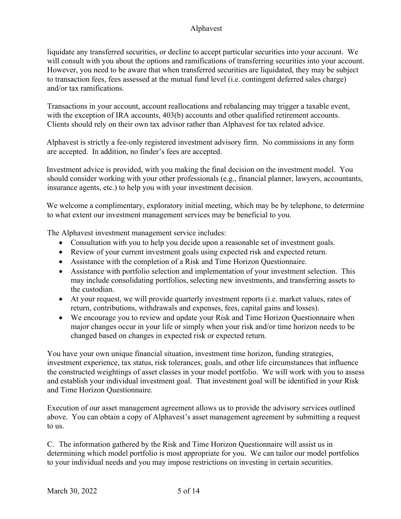liquidate any transferred securities, or decline to accept particular securities into your account. We will consult with you about the options and ramifications of transferring securities into your account. However, you need to be aware that when transferred securities are liquidated, they may be subject to transaction fees, fees assessed at the mutual fund level (i.e. contingent deferred sales charge) and/or tax ramifications.

Transactions in your account, account reallocations and rebalancing may trigger a taxable event, with the exception of IRA accounts, 403(b) accounts and other qualified retirement accounts. Clients should rely on their own tax advisor rather than Alphavest for tax related advice.

Alphavest is strictly a fee-only registered investment advisory firm. No commissions in any form are accepted. In addition, no finder's fees are accepted.

Investment advice is provided, with you making the final decision on the investment model. You should consider working with your other professionals (e.g., financial planner, lawyers, accountants, insurance agents, etc.) to help you with your investment decision.

We welcome a complimentary, exploratory initial meeting, which may be by telephone, to determine to what extent our investment management services may be beneficial to you.

The Alphavest investment management service includes:

- Consultation with you to help you decide upon a reasonable set of investment goals.
- Review of your current investment goals using expected risk and expected return.
- Assistance with the completion of a Risk and Time Horizon Questionnaire.
- Assistance with portfolio selection and implementation of your investment selection. This may include consolidating portfolios, selecting new investments, and transferring assets to the custodian.
- At your request, we will provide quarterly investment reports (i.e. market values, rates of return, contributions, withdrawals and expenses, fees, capital gains and losses).
- We encourage you to review and update your Risk and Time Horizon Questionnaire when major changes occur in your life or simply when your risk and/or time horizon needs to be changed based on changes in expected risk or expected return.

You have your own unique financial situation, investment time horizon, funding strategies, investment experience, tax status, risk tolerances, goals, and other life circumstances that influence the constructed weightings of asset classes in your model portfolio. We will work with you to assess and establish your individual investment goal. That investment goal will be identified in your Risk and Time Horizon Questionnaire.

Execution of our asset management agreement allows us to provide the advisory services outlined above. You can obtain a copy of Alphavest's asset management agreement by submitting a request to us.

C. The information gathered by the Risk and Time Horizon Questionnaire will assist us in determining which model portfolio is most appropriate for you. We can tailor our model portfolios to your individual needs and you may impose restrictions on investing in certain securities.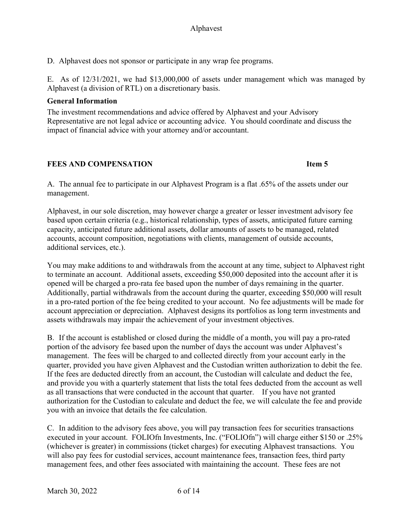D. Alphavest does not sponsor or participate in any wrap fee programs.

E. As of 12/31/2021, we had \$13,000,000 of assets under management which was managed by Alphavest (a division of RTL) on a discretionary basis.

### **General Information**

The investment recommendations and advice offered by Alphavest and your Advisory Representative are not legal advice or accounting advice. You should coordinate and discuss the impact of financial advice with your attorney and/or accountant.

# **FEES AND COMPENSATION Item 5**

A. The annual fee to participate in our Alphavest Program is a flat .65% of the assets under our management.

Alphavest, in our sole discretion, may however charge a greater or lesser investment advisory fee based upon certain criteria (e.g., historical relationship, types of assets, anticipated future earning capacity, anticipated future additional assets, dollar amounts of assets to be managed, related accounts, account composition, negotiations with clients, management of outside accounts, additional services, etc.).

You may make additions to and withdrawals from the account at any time, subject to Alphavest right to terminate an account. Additional assets, exceeding \$50,000 deposited into the account after it is opened will be charged a pro-rata fee based upon the number of days remaining in the quarter. Additionally, partial withdrawals from the account during the quarter, exceeding \$50,000 will result in a pro-rated portion of the fee being credited to your account. No fee adjustments will be made for account appreciation or depreciation. Alphavest designs its portfolios as long term investments and assets withdrawals may impair the achievement of your investment objectives.

B. If the account is established or closed during the middle of a month, you will pay a pro-rated portion of the advisory fee based upon the number of days the account was under Alphavest's management. The fees will be charged to and collected directly from your account early in the quarter, provided you have given Alphavest and the Custodian written authorization to debit the fee. If the fees are deducted directly from an account, the Custodian will calculate and deduct the fee, and provide you with a quarterly statement that lists the total fees deducted from the account as well as all transactions that were conducted in the account that quarter. If you have not granted authorization for the Custodian to calculate and deduct the fee, we will calculate the fee and provide you with an invoice that details the fee calculation.

C. In addition to the advisory fees above, you will pay transaction fees for securities transactions executed in your account. FOLIOfn Investments, Inc. ("FOLIOfn") will charge either \$150 or .25% (whichever is greater) in commissions (ticket charges) for executing Alphavest transactions. You will also pay fees for custodial services, account maintenance fees, transaction fees, third party management fees, and other fees associated with maintaining the account. These fees are not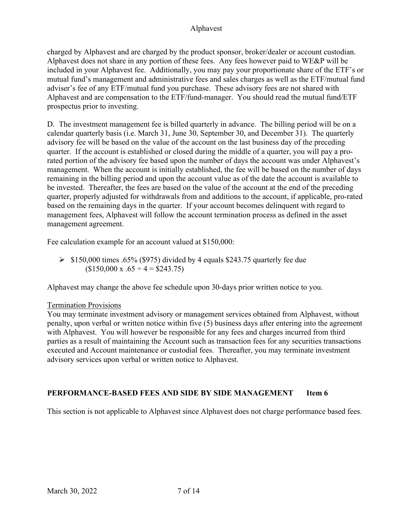charged by Alphavest and are charged by the product sponsor, broker/dealer or account custodian. Alphavest does not share in any portion of these fees. Any fees however paid to WE&P will be included in your Alphavest fee. Additionally, you may pay your proportionate share of the ETF's or mutual fund's management and administrative fees and sales charges as well as the ETF/mutual fund adviser's fee of any ETF/mutual fund you purchase. These advisory fees are not shared with Alphavest and are compensation to the ETF/fund-manager. You should read the mutual fund/ETF prospectus prior to investing.

D. The investment management fee is billed quarterly in advance. The billing period will be on a calendar quarterly basis (i.e. March 31, June 30, September 30, and December 31). The quarterly advisory fee will be based on the value of the account on the last business day of the preceding quarter. If the account is established or closed during the middle of a quarter, you will pay a prorated portion of the advisory fee based upon the number of days the account was under Alphavest's management. When the account is initially established, the fee will be based on the number of days remaining in the billing period and upon the account value as of the date the account is available to be invested. Thereafter, the fees are based on the value of the account at the end of the preceding quarter, properly adjusted for withdrawals from and additions to the account, if applicable, pro-rated based on the remaining days in the quarter. If your account becomes delinquent with regard to management fees, Alphavest will follow the account termination process as defined in the asset management agreement.

Fee calculation example for an account valued at \$150,000:

 $\geq$  \$150,000 times .65% (\$975) divided by 4 equals \$243.75 quarterly fee due  $$150,000 \text{ x}.65 \div 4 = $243.75$ 

Alphavest may change the above fee schedule upon 30-days prior written notice to you.

#### Termination Provisions

You may terminate investment advisory or management services obtained from Alphavest, without penalty, upon verbal or written notice within five (5) business days after entering into the agreement with Alphavest. You will however be responsible for any fees and charges incurred from third parties as a result of maintaining the Account such as transaction fees for any securities transactions executed and Account maintenance or custodial fees. Thereafter, you may terminate investment advisory services upon verbal or written notice to Alphavest.

# **PERFORMANCE-BASED FEES AND SIDE BY SIDE MANAGEMENT Item 6**

This section is not applicable to Alphavest since Alphavest does not charge performance based fees.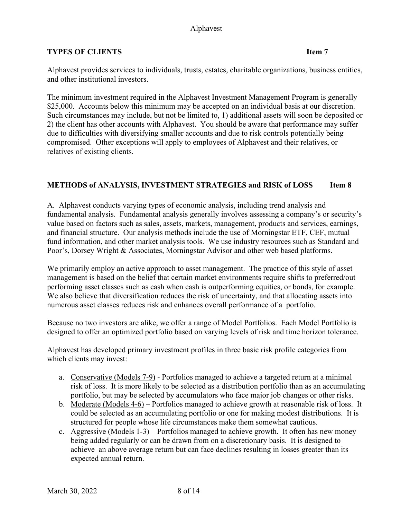### **TYPES OF CLIENTS Item 7**

Alphavest provides services to individuals, trusts, estates, charitable organizations, business entities, and other institutional investors.

The minimum investment required in the Alphavest Investment Management Program is generally \$25,000. Accounts below this minimum may be accepted on an individual basis at our discretion. Such circumstances may include, but not be limited to, 1) additional assets will soon be deposited or 2) the client has other accounts with Alphavest. You should be aware that performance may suffer due to difficulties with diversifying smaller accounts and due to risk controls potentially being compromised. Other exceptions will apply to employees of Alphavest and their relatives, or relatives of existing clients.

# METHODS of ANALYSIS, INVESTMENT STRATEGIES and RISK of LOSS Item 8

A. Alphavest conducts varying types of economic analysis, including trend analysis and fundamental analysis. Fundamental analysis generally involves assessing a company's or security's value based on factors such as sales, assets, markets, management, products and services, earnings, and financial structure. Our analysis methods include the use of Morningstar ETF, CEF, mutual fund information, and other market analysis tools. We use industry resources such as Standard and Poor's, Dorsey Wright & Associates, Morningstar Advisor and other web based platforms.

We primarily employ an active approach to asset management. The practice of this style of asset management is based on the belief that certain market environments require shifts to preferred/out performing asset classes such as cash when cash is outperforming equities, or bonds, for example. We also believe that diversification reduces the risk of uncertainty, and that allocating assets into numerous asset classes reduces risk and enhances overall performance of a portfolio.

Because no two investors are alike, we offer a range of Model Portfolios. Each Model Portfolio is designed to offer an optimized portfolio based on varying levels of risk and time horizon tolerance.

Alphavest has developed primary investment profiles in three basic risk profile categories from which clients may invest:

- a. Conservative (Models 7-9) Portfolios managed to achieve a targeted return at a minimal risk of loss. It is more likely to be selected as a distribution portfolio than as an accumulating portfolio, but may be selected by accumulators who face major job changes or other risks.
- b. Moderate (Models 4-6) Portfolios managed to achieve growth at reasonable risk of loss. It could be selected as an accumulating portfolio or one for making modest distributions. It is structured for people whose life circumstances make them somewhat cautious.
- c. Aggressive (Models  $1-3$ ) Portfolios managed to achieve growth. It often has new money being added regularly or can be drawn from on a discretionary basis. It is designed to achieve an above average return but can face declines resulting in losses greater than its expected annual return.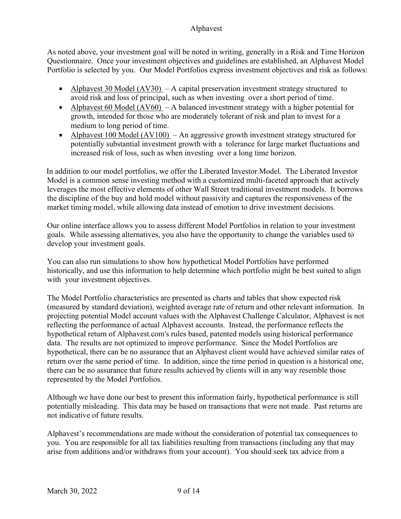As noted above, your investment goal will be noted in writing, generally in a Risk and Time Horizon Questionnaire. Once your investment objectives and guidelines are established, an Alphavest Model Portfolio is selected by you. Our Model Portfolios express investment objectives and risk as follows:

- Alphavest 30 Model  $(AV30)$  A capital preservation investment strategy structured to avoid risk and loss of principal, such as when investing over a short period of time.
- Alphavest 60 Model  $(AV60)$  A balanced investment strategy with a higher potential for growth, intended for those who are moderately tolerant of risk and plan to invest for a medium to long period of time.
- Alphavest 100 Model  $(AV100)$  An aggressive growth investment strategy structured for potentially substantial investment growth with a tolerance for large market fluctuations and increased risk of loss, such as when investing over a long time horizon.

In addition to our model portfolios, we offer the Liberated Investor Model. The Liberated Investor Model is a common sense investing method with a customized multi-faceted approach that actively leverages the most effective elements of other Wall Street traditional investment models. It borrows the discipline of the buy and hold model without passivity and captures the responsiveness of the market timing model, while allowing data instead of emotion to drive investment decisions.

Our online interface allows you to assess different Model Portfolios in relation to your investment goals. While assessing alternatives, you also have the opportunity to change the variables used to develop your investment goals.

You can also run simulations to show how hypothetical Model Portfolios have performed historically, and use this information to help determine which portfolio might be best suited to align with your investment objectives.

The Model Portfolio characteristics are presented as charts and tables that show expected risk (measured by standard deviation), weighted average rate of return and other relevant information. In projecting potential Model account values with the Alphavest Challenge Calculator, Alphavest is not reflecting the performance of actual Alphavest accounts. Instead, the performance reflects the hypothetical return of Alphavest.com's rules based, patented models using historical performance data. The results are not optimized to improve performance. Since the Model Portfolios are hypothetical, there can be no assurance that an Alphavest client would have achieved similar rates of return over the same period of time. In addition, since the time period in question is a historical one, there can be no assurance that future results achieved by clients will in any way resemble those represented by the Model Portfolios.

Although we have done our best to present this information fairly, hypothetical performance is still potentially misleading. This data may be based on transactions that were not made. Past returns are not indicative of future results.

Alphavest's recommendations are made without the consideration of potential tax consequences to you. You are responsible for all tax liabilities resulting from transactions (including any that may arise from additions and/or withdraws from your account). You should seek tax advice from a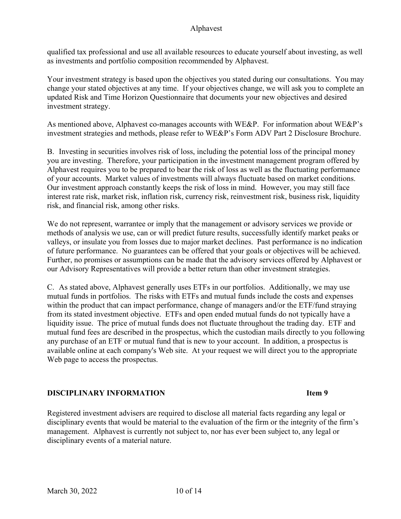qualified tax professional and use all available resources to educate yourself about investing, as well as investments and portfolio composition recommended by Alphavest.

Your investment strategy is based upon the objectives you stated during our consultations. You may change your stated objectives at any time. If your objectives change, we will ask you to complete an updated Risk and Time Horizon Questionnaire that documents your new objectives and desired investment strategy.

As mentioned above, Alphavest co-manages accounts with WE&P. For information about WE&P's investment strategies and methods, please refer to WE&P's Form ADV Part 2 Disclosure Brochure.

B. Investing in securities involves risk of loss, including the potential loss of the principal money you are investing. Therefore, your participation in the investment management program offered by Alphavest requires you to be prepared to bear the risk of loss as well as the fluctuating performance of your accounts. Market values of investments will always fluctuate based on market conditions. Our investment approach constantly keeps the risk of loss in mind. However, you may still face interest rate risk, market risk, inflation risk, currency risk, reinvestment risk, business risk, liquidity risk, and financial risk, among other risks.

We do not represent, warrantee or imply that the management or advisory services we provide or methods of analysis we use, can or will predict future results, successfully identify market peaks or valleys, or insulate you from losses due to major market declines. Past performance is no indication of future performance. No guarantees can be offered that your goals or objectives will be achieved. Further, no promises or assumptions can be made that the advisory services offered by Alphavest or our Advisory Representatives will provide a better return than other investment strategies.

C. As stated above, Alphavest generally uses ETFs in our portfolios. Additionally, we may use mutual funds in portfolios. The risks with ETFs and mutual funds include the costs and expenses within the product that can impact performance, change of managers and/or the ETF/fund straying from its stated investment objective. ETFs and open ended mutual funds do not typically have a liquidity issue. The price of mutual funds does not fluctuate throughout the trading day. ETF and mutual fund fees are described in the prospectus, which the custodian mails directly to you following any purchase of an ETF or mutual fund that is new to your account. In addition, a prospectus is available online at each company's Web site. At your request we will direct you to the appropriate Web page to access the prospectus.

#### **DISCIPLINARY INFORMATION Item 9**

Registered investment advisers are required to disclose all material facts regarding any legal or disciplinary events that would be material to the evaluation of the firm or the integrity of the firm's management. Alphavest is currently not subject to, nor has ever been subject to, any legal or disciplinary events of a material nature.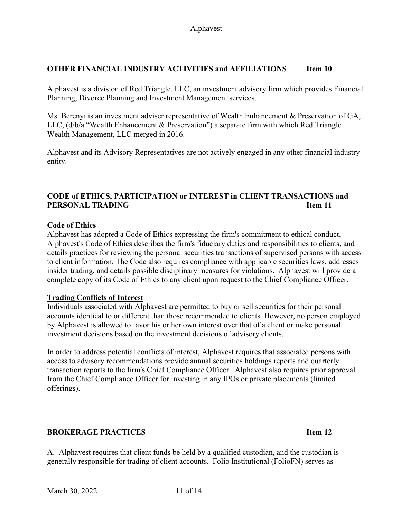### **OTHER FINANCIAL INDUSTRY ACTIVITIES and AFFILIATIONS Item 10**

Alphavest is a division of Red Triangle, LLC, an investment advisory firm which provides Financial Planning, Divorce Planning and Investment Management services.

Ms. Berenyi is an investment adviser representative of Wealth Enhancement & Preservation of GA, LLC, (d/b/a "Wealth Enhancement & Preservation") a separate firm with which Red Triangle Wealth Management, LLC merged in 2016.

Alphavest and its Advisory Representatives are not actively engaged in any other financial industry entity.

# **CODE of ETHICS, PARTICIPATION or INTEREST in CLIENT TRANSACTIONS and PERSONAL TRADING IDEAL AND SEXUAL TRADING IDEAL AND SEXUAL TRADING IDEAL AND SEXUAL TRADING**

#### **Code of Ethics**

Alphavest has adopted a Code of Ethics expressing the firm's commitment to ethical conduct. Alphavest's Code of Ethics describes the firm's fiduciary duties and responsibilities to clients, and details practices for reviewing the personal securities transactions of supervised persons with access to client information. The Code also requires compliance with applicable securities laws, addresses insider trading, and details possible disciplinary measures for violations. Alphavest will provide a complete copy of its Code of Ethics to any client upon request to the Chief Compliance Officer.

#### **Trading Conflicts of Interest**

Individuals associated with Alphavest are permitted to buy or sell securities for their personal accounts identical to or different than those recommended to clients. However, no person employed by Alphavest is allowed to favor his or her own interest over that of a client or make personal investment decisions based on the investment decisions of advisory clients.

In order to address potential conflicts of interest, Alphavest requires that associated persons with access to advisory recommendations provide annual securities holdings reports and quarterly transaction reports to the firm's Chief Compliance Officer. Alphavest also requires prior approval from the Chief Compliance Officer for investing in any IPOs or private placements (limited offerings).

# **BROKERAGE PRACTICES Item 12**

A. Alphavest requires that client funds be held by a qualified custodian, and the custodian is generally responsible for trading of client accounts. Folio Institutional (FolioFN) serves as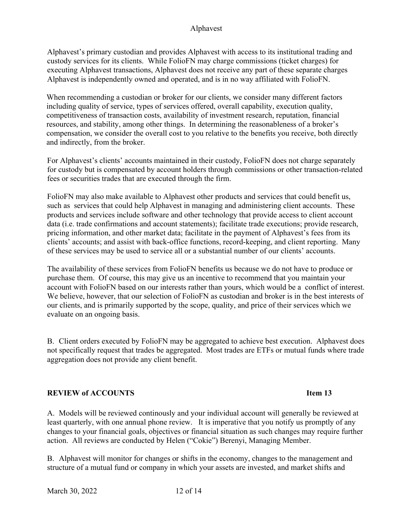Alphavest's primary custodian and provides Alphavest with access to its institutional trading and custody services for its clients. While FolioFN may charge commissions (ticket charges) for executing Alphavest transactions, Alphavest does not receive any part of these separate charges Alphavest is independently owned and operated, and is in no way affiliated with FolioFN.

When recommending a custodian or broker for our clients, we consider many different factors including quality of service, types of services offered, overall capability, execution quality, competitiveness of transaction costs, availability of investment research, reputation, financial resources, and stability, among other things. In determining the reasonableness of a broker's compensation, we consider the overall cost to you relative to the benefits you receive, both directly and indirectly, from the broker.

For Alphavest's clients' accounts maintained in their custody, FolioFN does not charge separately for custody but is compensated by account holders through commissions or other transaction-related fees or securities trades that are executed through the firm.

FolioFN may also make available to Alphavest other products and services that could benefit us, such as services that could help Alphavest in managing and administering client accounts. These products and services include software and other technology that provide access to client account data (i.e. trade confirmations and account statements); facilitate trade executions; provide research, pricing information, and other market data; facilitate in the payment of Alphavest's fees from its clients' accounts; and assist with back-office functions, record-keeping, and client reporting. Many of these services may be used to service all or a substantial number of our clients' accounts.

The availability of these services from FolioFN benefits us because we do not have to produce or purchase them. Of course, this may give us an incentive to recommend that you maintain your account with FolioFN based on our interests rather than yours, which would be a conflict of interest. We believe, however, that our selection of FolioFN as custodian and broker is in the best interests of our clients, and is primarily supported by the scope, quality, and price of their services which we evaluate on an ongoing basis.

B. Client orders executed by FolioFN may be aggregated to achieve best execution. Alphavest does not specifically request that trades be aggregated. Most trades are ETFs or mutual funds where trade aggregation does not provide any client benefit.

#### **REVIEW of ACCOUNTS Item 13**

A. Models will be reviewed continously and your individual account will generally be reviewed at least quarterly, with one annual phone review. It is imperative that you notify us promptly of any changes to your financial goals, objectives or financial situation as such changes may require further action. All reviews are conducted by Helen ("Cokie") Berenyi, Managing Member.

B. Alphavest will monitor for changes or shifts in the economy, changes to the management and structure of a mutual fund or company in which your assets are invested, and market shifts and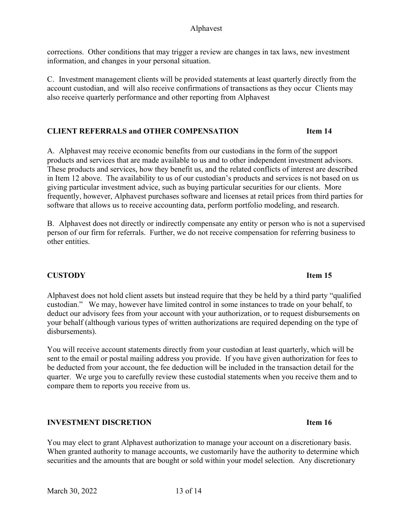corrections. Other conditions that may trigger a review are changes in tax laws, new investment information, and changes in your personal situation.

C. Investment management clients will be provided statements at least quarterly directly from the account custodian, and will also receive confirmations of transactions as they occur Clients may also receive quarterly performance and other reporting from Alphavest

# **CLIENT REFERRALS and OTHER COMPENSATION Item 14**

A. Alphavest may receive economic benefits from our custodians in the form of the support products and services that are made available to us and to other independent investment advisors. These products and services, how they benefit us, and the related conflicts of interest are described in Item 12 above. The availability to us of our custodian's products and services is not based on us giving particular investment advice, such as buying particular securities for our clients. More frequently, however, Alphavest purchases software and licenses at retail prices from third parties for software that allows us to receive accounting data, perform portfolio modeling, and research.

B. Alphavest does not directly or indirectly compensate any entity or person who is not a supervised person of our firm for referrals. Further, we do not receive compensation for referring business to other entities.

# **CUSTODY** Item 15

Alphavest does not hold client assets but instead require that they be held by a third party "qualified custodian." We may, however have limited control in some instances to trade on your behalf, to deduct our advisory fees from your account with your authorization, or to request disbursements on your behalf (although various types of written authorizations are required depending on the type of disbursements).

You will receive account statements directly from your custodian at least quarterly, which will be sent to the email or postal mailing address you provide. If you have given authorization for fees to be deducted from your account, the fee deduction will be included in the transaction detail for the quarter. We urge you to carefully review these custodial statements when you receive them and to compare them to reports you receive from us.

# **INVESTMENT DISCRETION Item 16**

You may elect to grant Alphavest authorization to manage your account on a discretionary basis. When granted authority to manage accounts, we customarily have the authority to determine which securities and the amounts that are bought or sold within your model selection. Any discretionary

#### March 30, 2022 13 of 14